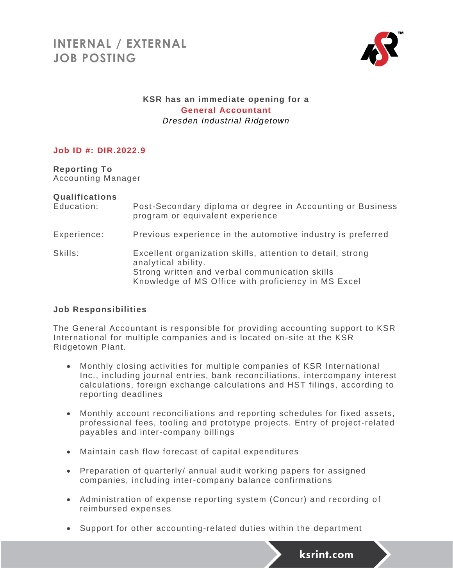

## **KSR has an immediate opening for a General Accountant** *Dresden Industrial Ridgetown*

### **Job ID #: DIR.2022.9**

**Reporting To** Accounting Manager

#### **Qualifications**

| Education:  | Post-Secondary diploma or degree in Accounting or Business<br>program or equivalent experience                                                                                             |
|-------------|--------------------------------------------------------------------------------------------------------------------------------------------------------------------------------------------|
| Experience: | Previous experience in the automotive industry is preferred                                                                                                                                |
| Skills:     | Excellent organization skills, attention to detail, strong<br>analytical ability.<br>Strong written and verbal communication skills<br>Knowledge of MS Office with proficiency in MS Excel |

#### **Job Responsibilities**

The General Accountant is responsible for providing accounting support to KSR International for multiple companies and is located on-site at the KSR Ridgetown Plant.

- Monthly closing activities for multiple companies of KSR International Inc., including journal entries, bank reconciliations, intercompany interest calculations, foreign exchange calculations and HST filings, according to reporting deadlines
- Monthly account reconciliations and reporting schedules for fixed assets, professional fees, tooling and prototype projects. Entry of project-related payables and inter-company billings
- Maintain cash flow forecast of capital expenditures
- Preparation of quarterly/ annual audit working papers for assigned companies, including inter-company balance confirmations
- Administration of expense reporting system (Concur) and recording of reimbursed expenses
- Support for other accounting-related duties within the department